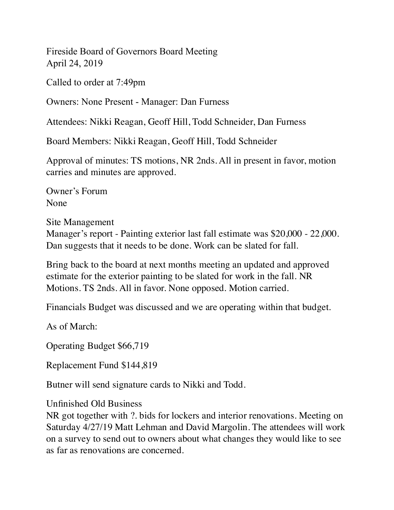Fireside Board of Governors Board Meeting April 24, 2019

Called to order at 7:49pm

Owners: None Present - Manager: Dan Furness

Attendees: Nikki Reagan, Geoff Hill, Todd Schneider, Dan Furness

Board Members: Nikki Reagan, Geoff Hill, Todd Schneider

Approval of minutes: TS motions, NR 2nds. All in present in favor, motion carries and minutes are approved.

Owner's Forum None

Site Management Manager's report - Painting exterior last fall estimate was \$20,000 - 22,000. Dan suggests that it needs to be done. Work can be slated for fall.

Bring back to the board at next months meeting an updated and approved estimate for the exterior painting to be slated for work in the fall. NR Motions. TS 2nds. All in favor. None opposed. Motion carried.

Financials Budget was discussed and we are operating within that budget.

As of March:

Operating Budget \$66,719

Replacement Fund \$144,819

Butner will send signature cards to Nikki and Todd.

Unfinished Old Business

NR got together with ?. bids for lockers and interior renovations. Meeting on Saturday 4/27/19 Matt Lehman and David Margolin. The attendees will work on a survey to send out to owners about what changes they would like to see as far as renovations are concerned.